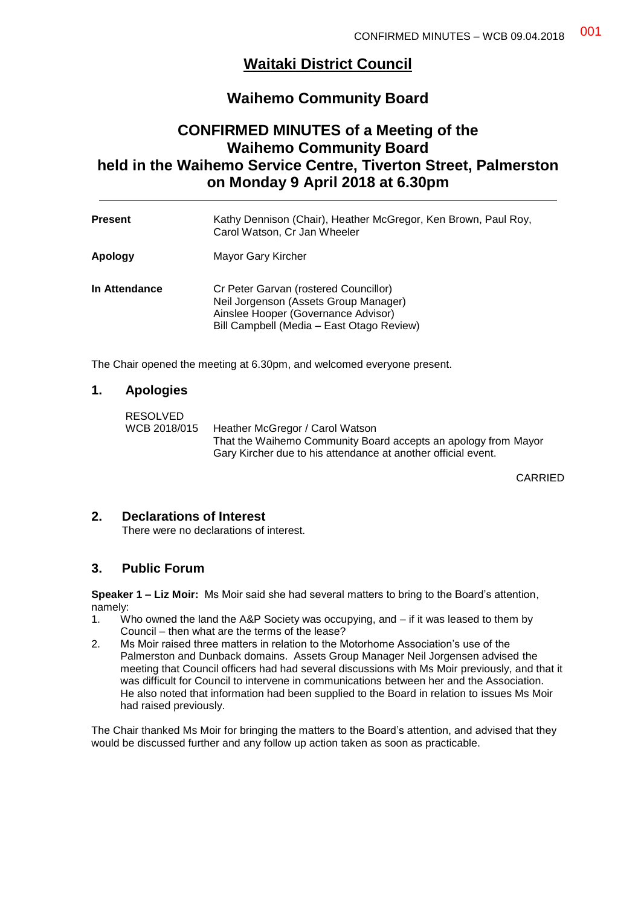# **Waitaki District Council**

# **Waihemo Community Board**

# **CONFIRMED MINUTES of a Meeting of the Waihemo Community Board held in the Waihemo Service Centre, Tiverton Street, Palmerston on Monday 9 April 2018 at 6.30pm**

| <b>Present</b> | Kathy Dennison (Chair), Heather McGregor, Ken Brown, Paul Roy,<br>Carol Watson, Cr Jan Wheeler                                                                     |
|----------------|--------------------------------------------------------------------------------------------------------------------------------------------------------------------|
| Apology        | Mayor Gary Kircher                                                                                                                                                 |
| In Attendance  | Cr Peter Garvan (rostered Councillor)<br>Neil Jorgenson (Assets Group Manager)<br>Ainslee Hooper (Governance Advisor)<br>Bill Campbell (Media - East Otago Review) |

The Chair opened the meeting at 6.30pm, and welcomed everyone present.

#### **1. Apologies**

RESOLVED WCB 2018/015 Heather McGregor / Carol Watson That the Waihemo Community Board accepts an apology from Mayor Gary Kircher due to his attendance at another official event.

CARRIED

### **2. Declarations of Interest**

There were no declarations of interest.

#### **3. Public Forum**

**Speaker 1 – Liz Moir:** Ms Moir said she had several matters to bring to the Board's attention, namely:

- 1. Who owned the land the A&P Society was occupying, and if it was leased to them by Council – then what are the terms of the lease?
- 2. Ms Moir raised three matters in relation to the Motorhome Association's use of the Palmerston and Dunback domains. Assets Group Manager Neil Jorgensen advised the meeting that Council officers had had several discussions with Ms Moir previously, and that it was difficult for Council to intervene in communications between her and the Association. He also noted that information had been supplied to the Board in relation to issues Ms Moir had raised previously.

The Chair thanked Ms Moir for bringing the matters to the Board's attention, and advised that they would be discussed further and any follow up action taken as soon as practicable.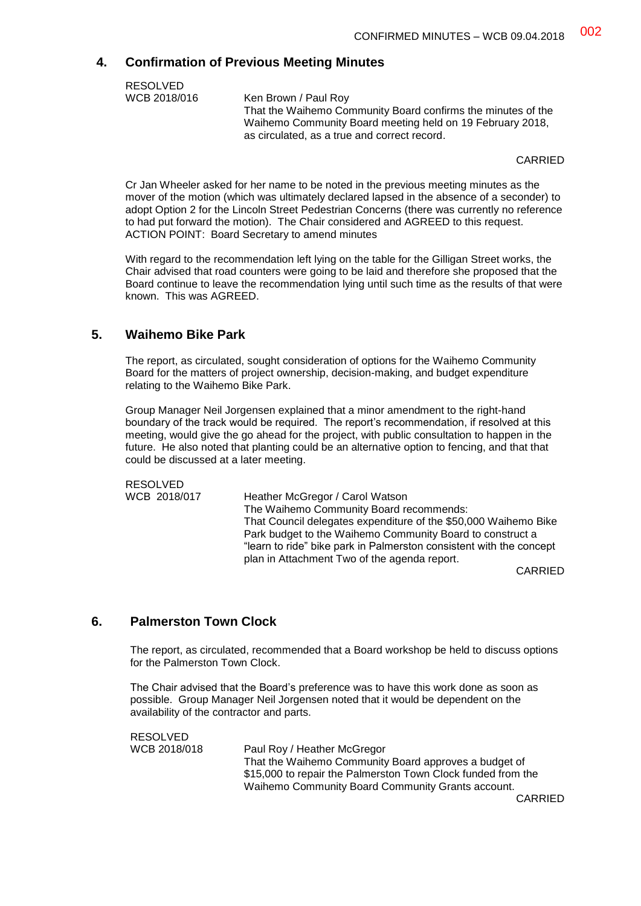### **4. Confirmation of Previous Meeting Minutes**

| <b>RESOLVED</b> |                                                              |
|-----------------|--------------------------------------------------------------|
| WCB 2018/016    | Ken Brown / Paul Roy                                         |
|                 | That the Waihemo Community Board confirms the minutes of the |
|                 | Waihemo Community Board meeting held on 19 February 2018,    |
|                 | as circulated, as a true and correct record.                 |

CARRIED

Cr Jan Wheeler asked for her name to be noted in the previous meeting minutes as the mover of the motion (which was ultimately declared lapsed in the absence of a seconder) to adopt Option 2 for the Lincoln Street Pedestrian Concerns (there was currently no reference to had put forward the motion). The Chair considered and AGREED to this request. ACTION POINT: Board Secretary to amend minutes

With regard to the recommendation left lying on the table for the Gilligan Street works, the Chair advised that road counters were going to be laid and therefore she proposed that the Board continue to leave the recommendation lying until such time as the results of that were known. This was AGREED.

### **5. Waihemo Bike Park**

The report, as circulated, sought consideration of options for the Waihemo Community Board for the matters of project ownership, decision-making, and budget expenditure relating to the Waihemo Bike Park.

Group Manager Neil Jorgensen explained that a minor amendment to the right-hand boundary of the track would be required. The report's recommendation, if resolved at this meeting, would give the go ahead for the project, with public consultation to happen in the future. He also noted that planting could be an alternative option to fencing, and that that could be discussed at a later meeting.

RESOLVED<br>WCB 2018/017

Heather McGregor / Carol Watson The Waihemo Community Board recommends: That Council delegates expenditure of the \$50,000 Waihemo Bike Park budget to the Waihemo Community Board to construct a "learn to ride" bike park in Palmerston consistent with the concept plan in Attachment Two of the agenda report.

CARRIED

## **6. Palmerston Town Clock**

The report, as circulated, recommended that a Board workshop be held to discuss options for the Palmerston Town Clock.

The Chair advised that the Board's preference was to have this work done as soon as possible. Group Manager Neil Jorgensen noted that it would be dependent on the availability of the contractor and parts.

RESOLVED

WCB 2018/018 Paul Roy / Heather McGregor That the Waihemo Community Board approves a budget of \$15,000 to repair the Palmerston Town Clock funded from the Waihemo Community Board Community Grants account.

CARRIED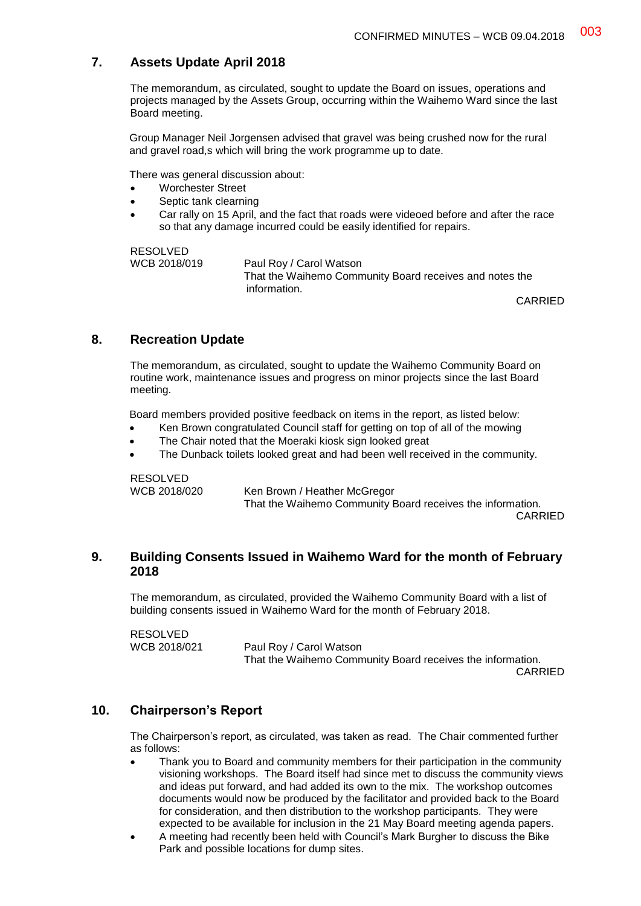## **7. Assets Update April 2018**

The memorandum, as circulated, sought to update the Board on issues, operations and projects managed by the Assets Group, occurring within the Waihemo Ward since the last Board meeting.

Group Manager Neil Jorgensen advised that gravel was being crushed now for the rural and gravel road,s which will bring the work programme up to date.

There was general discussion about:

- Worchester Street
- Septic tank clearning
- Car rally on 15 April, and the fact that roads were videoed before and after the race so that any damage incurred could be easily identified for repairs.

RESOLVED<br>WCB 2018/019

Paul Roy / Carol Watson That the Waihemo Community Board receives and notes the information.

CARRIED

### **8. Recreation Update**

The memorandum, as circulated, sought to update the Waihemo Community Board on routine work, maintenance issues and progress on minor projects since the last Board meeting.

Board members provided positive feedback on items in the report, as listed below:

- Ken Brown congratulated Council staff for getting on top of all of the mowing
- The Chair noted that the Moeraki kiosk sign looked great
- The Dunback toilets looked great and had been well received in the community.

RESOLVED

WCB 2018/020 Ken Brown / Heather McGregor That the Waihemo Community Board receives the information. CARRIED

### **9. Building Consents Issued in Waihemo Ward for the month of February 2018**

The memorandum, as circulated, provided the Waihemo Community Board with a list of building consents issued in Waihemo Ward for the month of February 2018.

RESOLVED

WCB 2018/021 Paul Roy / Carol Watson That the Waihemo Community Board receives the information. CARRIED

## **10. Chairperson's Report**

The Chairperson's report, as circulated, was taken as read. The Chair commented further as follows:

- Thank you to Board and community members for their participation in the community visioning workshops. The Board itself had since met to discuss the community views and ideas put forward, and had added its own to the mix. The workshop outcomes documents would now be produced by the facilitator and provided back to the Board for consideration, and then distribution to the workshop participants. They were expected to be available for inclusion in the 21 May Board meeting agenda papers.
- A meeting had recently been held with Council's Mark Burgher to discuss the Bike Park and possible locations for dump sites.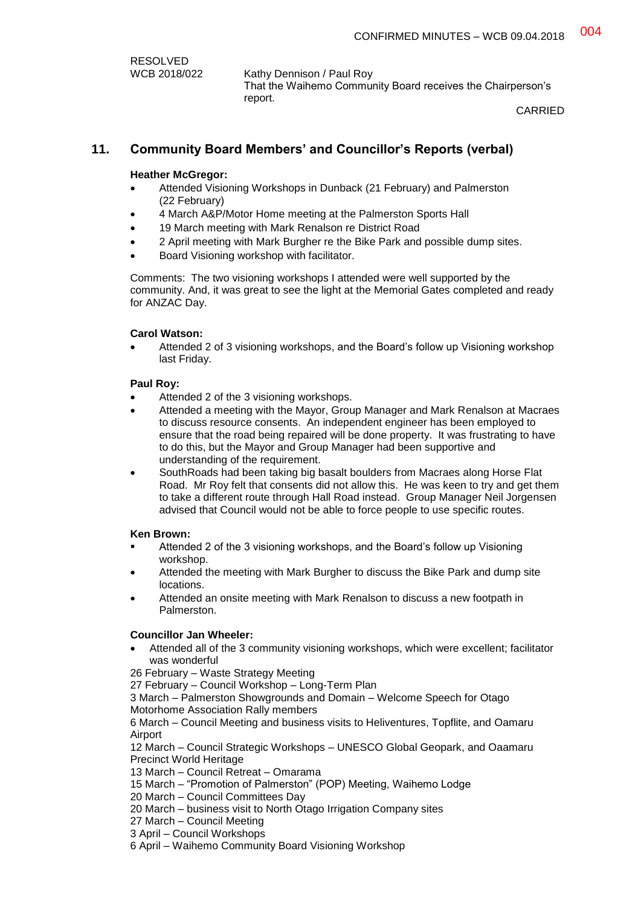| <b>RESOLVED</b> |  |
|-----------------|--|
| WCB 2018/022    |  |

Kathy Dennison / Paul Roy That the Waihemo Community Board receives the Chairperson's report.

CARRIED

### **11. Community Board Members' and Councillor's Reports (verbal)**

#### **Heather McGregor:**

- Attended Visioning Workshops in Dunback (21 February) and Palmerston (22 February)
- 4 March A&P/Motor Home meeting at the Palmerston Sports Hall
- 19 March meeting with Mark Renalson re District Road
- 2 April meeting with Mark Burgher re the Bike Park and possible dump sites.
- Board Visioning workshop with facilitator.

Comments: The two visioning workshops I attended were well supported by the community. And, it was great to see the light at the Memorial Gates completed and ready for ANZAC Day.

#### **Carol Watson:**

 Attended 2 of 3 visioning workshops, and the Board's follow up Visioning workshop last Friday.

#### **Paul Roy:**

- Attended 2 of the 3 visioning workshops.
- Attended a meeting with the Mayor, Group Manager and Mark Renalson at Macraes to discuss resource consents. An independent engineer has been employed to ensure that the road being repaired will be done property. It was frustrating to have to do this, but the Mayor and Group Manager had been supportive and understanding of the requirement.
- SouthRoads had been taking big basalt boulders from Macraes along Horse Flat Road. Mr Roy felt that consents did not allow this. He was keen to try and get them to take a different route through Hall Road instead. Group Manager Neil Jorgensen advised that Council would not be able to force people to use specific routes.

#### **Ken Brown:**

- Attended 2 of the 3 visioning workshops, and the Board's follow up Visioning workshop.
- Attended the meeting with Mark Burgher to discuss the Bike Park and dump site locations.
- Attended an onsite meeting with Mark Renalson to discuss a new footpath in Palmerston.

#### **Councillor Jan Wheeler:**

 Attended all of the 3 community visioning workshops, which were excellent; facilitator was wonderful

26 February – Waste Strategy Meeting

27 February – Council Workshop – Long-Term Plan

3 March – Palmerston Showgrounds and Domain – Welcome Speech for Otago Motorhome Association Rally members

6 March – Council Meeting and business visits to Heliventures, Topflite, and Oamaru Airport

12 March – Council Strategic Workshops – UNESCO Global Geopark, and Oaamaru Precinct World Heritage

13 March – Council Retreat – Omarama

15 March – "Promotion of Palmerston" (POP) Meeting, Waihemo Lodge

20 March – Council Committees Day

20 March – business visit to North Otago Irrigation Company sites

27 March – Council Meeting

- 3 April Council Workshops
- 6 April Waihemo Community Board Visioning Workshop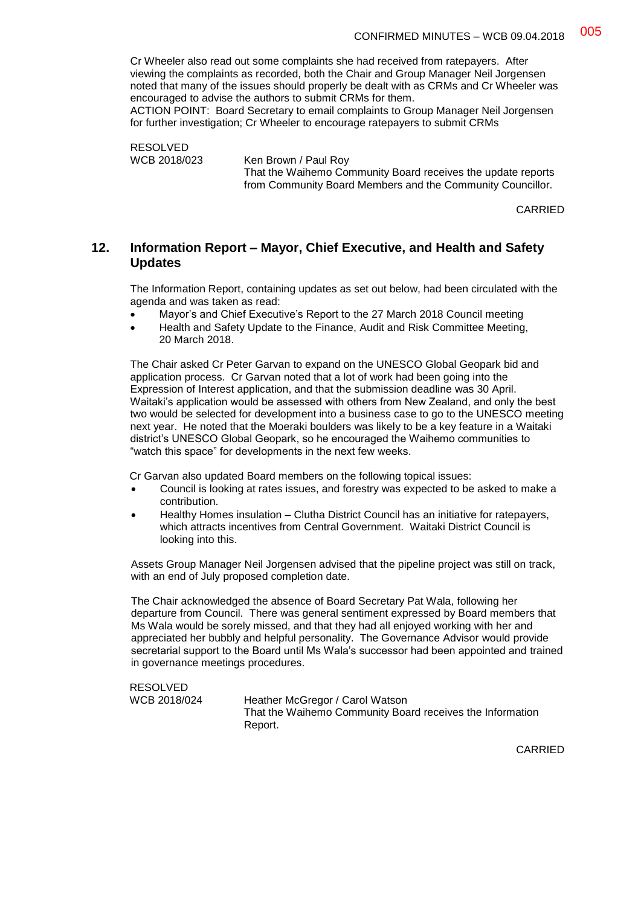Cr Wheeler also read out some complaints she had received from ratepayers. After viewing the complaints as recorded, both the Chair and Group Manager Neil Jorgensen noted that many of the issues should properly be dealt with as CRMs and Cr Wheeler was encouraged to advise the authors to submit CRMs for them.

ACTION POINT: Board Secretary to email complaints to Group Manager Neil Jorgensen for further investigation; Cr Wheeler to encourage ratepayers to submit CRMs

RESOLVED<br>WCB 2018/023

Ken Brown / Paul Roy That the Waihemo Community Board receives the update reports from Community Board Members and the Community Councillor.

CARRIED

### **12. Information Report – Mayor, Chief Executive, and Health and Safety Updates**

The Information Report, containing updates as set out below, had been circulated with the agenda and was taken as read:

- Mayor's and Chief Executive's Report to the 27 March 2018 Council meeting
- Health and Safety Update to the Finance, Audit and Risk Committee Meeting, 20 March 2018.

The Chair asked Cr Peter Garvan to expand on the UNESCO Global Geopark bid and application process. Cr Garvan noted that a lot of work had been going into the Expression of Interest application, and that the submission deadline was 30 April. Waitaki's application would be assessed with others from New Zealand, and only the best two would be selected for development into a business case to go to the UNESCO meeting next year. He noted that the Moeraki boulders was likely to be a key feature in a Waitaki district's UNESCO Global Geopark, so he encouraged the Waihemo communities to "watch this space" for developments in the next few weeks.

Cr Garvan also updated Board members on the following topical issues:

- Council is looking at rates issues, and forestry was expected to be asked to make a contribution.
- Healthy Homes insulation Clutha District Council has an initiative for ratepayers, which attracts incentives from Central Government. Waitaki District Council is looking into this.

Assets Group Manager Neil Jorgensen advised that the pipeline project was still on track, with an end of July proposed completion date.

The Chair acknowledged the absence of Board Secretary Pat Wala, following her departure from Council. There was general sentiment expressed by Board members that Ms Wala would be sorely missed, and that they had all enjoyed working with her and appreciated her bubbly and helpful personality. The Governance Advisor would provide secretarial support to the Board until Ms Wala's successor had been appointed and trained in governance meetings procedures.

RESOLVED WCB 2018/024 Heather McGregor / Carol Watson That the Waihemo Community Board receives the Information Report.

CARRIED